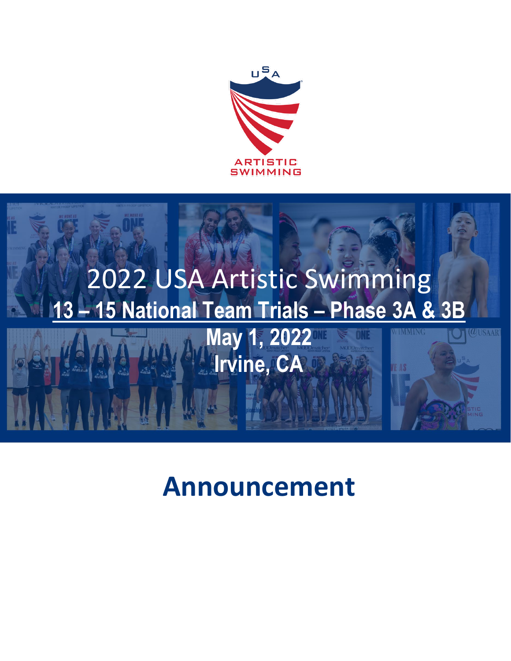



# **Announcement**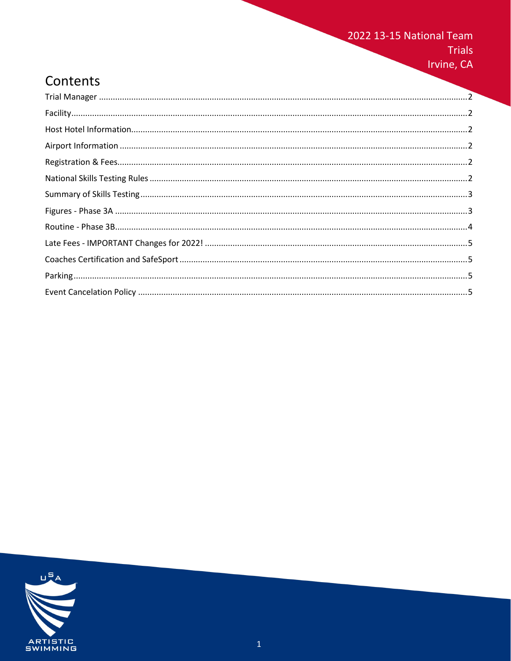### 2022 13-15 National Team Trials

Irvine, CA

# Contents

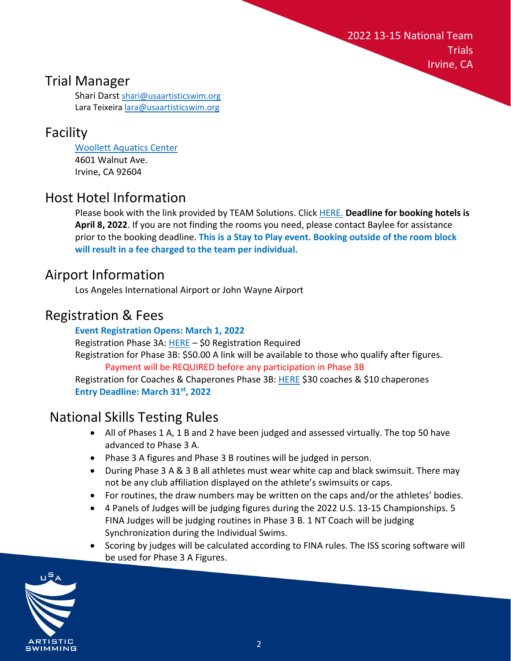2022 13-15 National Team **Trials** Irvine, CA

### <span id="page-2-0"></span>Trial Manager

Shari Darst [shari@usaartisticswim.org](mailto:shari@usaartisticswim.org) Lara Teixeira [lara@usaartisticswim.org](mailto:lara@usaartisticswim.org)

# <span id="page-2-1"></span>Facility

[Woollett Aquatics Center](https://www.cityofirvine.org/aquatics-centers) 4601 Walnut Ave. Irvine, CA 92604

# <span id="page-2-2"></span>Host Hotel Information

Please book with the link provided by TEAM Solutions. Click [HERE.](https://urldefense.proofpoint.com/v2/url?u=https-3A__hotels.trustinteams.com_events_eventsById_2943063b0f2972395f598e646aef89d7&d=DwMFaQ&c=2WL0YSuuUVVc0p-CnY1CMA&r=Lp7xc5KZR88DCIkpD0_BrYVtntM_i1mL1Nqtjp9SguA&m=mnwCTxgFXovw_XpZjbEzxnmCZ1RdgKCg5Za_4xj07N0tjcGnPdIecg-4QAXrIvH0&s=t5vb_eF5bCigHGUyYaF7Fc8R0z6UrmgWYY7-4sQDg1M&e=) **Deadline for booking hotels is April 8, 2022**. If you are not finding the rooms you need, please contact Baylee for assistance prior to the booking deadline. **This is a Stay to Play event. Booking outside of the room block will result in a fee charged to the team per individual.** 

## <span id="page-2-3"></span>Airport Information

Los Angeles International Airport or John Wayne Airport

# <span id="page-2-4"></span>Registration & Fees

#### **Event Registration Opens: March 1, 2022**

Registration Phase 3A: [HERE](https://www.teamusa.org/usa-artistic-swimming/team-usa/national-team-trials) - \$0 Registration Required Registration for Phase 3B: \$50.00 A link will be available to those who qualify after figures.

Payment will be REQUIRED before any participation in Phase 3B Registration for Coaches & Chaperones Phase 3B: [HERE](https://www.teamusa.org/usa-artistic-swimming/team-usa/national-team-trials) \$30 coaches & \$10 chaperones **Entry Deadline: March 31st, 2022**

# <span id="page-2-5"></span>National Skills Testing Rules

- All of Phases 1 A, 1 B and 2 have been judged and assessed virtually. The top 50 have advanced to Phase 3 A.
- Phase 3 A figures and Phase 3 B routines will be judged in person.
- During Phase 3 A & 3 B all athletes must wear white cap and black swimsuit. There may not be any club affiliation displayed on the athlete's swimsuits or caps.
- For routines, the draw numbers may be written on the caps and/or the athletes' bodies.
- 4 Panels of Judges will be judging figures during the 2022 U.S. 13-15 Championships. 5 FINA Judges will be judging routines in Phase 3 B. 1 NT Coach will be judging Synchronization during the Individual Swims.
- Scoring by judges will be calculated according to FINA rules. The ISS scoring software will be used for Phase 3 A Figures.

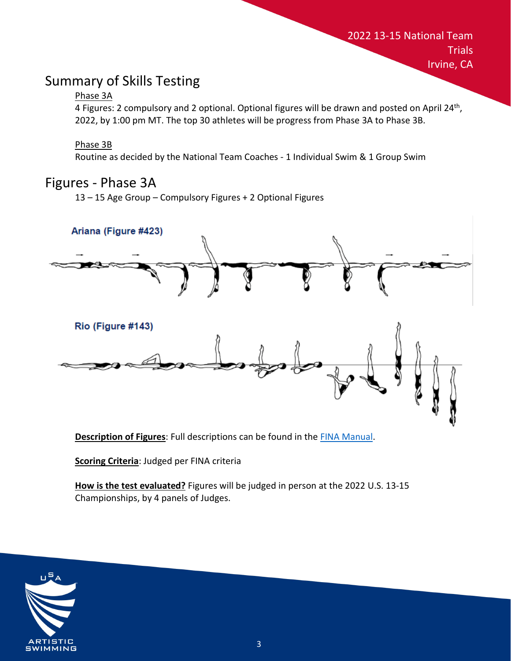# <span id="page-3-0"></span>Summary of Skills Testing

#### Phase 3A

4 Figures: 2 compulsory and 2 optional. Optional figures will be drawn and posted on April 24<sup>th</sup>, 2022, by 1:00 pm MT. The top 30 athletes will be progress from Phase 3A to Phase 3B.

2022 13-15 National Team

**Trials** 

Irvine, CA

#### Phase 3B

Routine as decided by the National Team Coaches - 1 Individual Swim & 1 Group Swim

### <span id="page-3-1"></span>Figures - Phase 3A

13 – 15 Age Group – Compulsory Figures + 2 Optional Figures



**Description of Figures**: Full descriptions can be found in th[e FINA Manual.](https://www.teamusa.org/usa-artistic-swimming/resources/judges)

**Scoring Criteria**: Judged per FINA criteria

**How is the test evaluated?** Figures will be judged in person at the 2022 U.S. 13-15 Championships, by 4 panels of Judges.

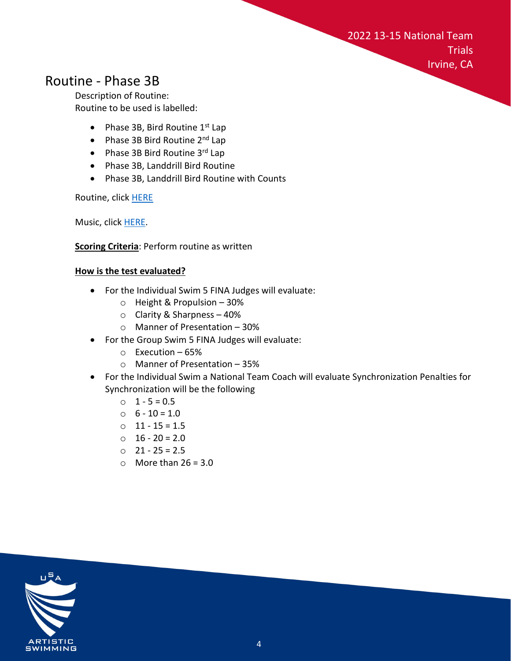2022 13-15 National Team **Trials** Irvine, CA

### <span id="page-4-0"></span>Routine - Phase 3B

Description of Routine: Routine to be used is labelled:

- Phase 3B, Bird Routine  $1<sup>st</sup>$  Lap
- Phase 3B Bird Routine  $2^{nd}$  Lap
- Phase 3B Bird Routine 3rd Lap
- Phase 3B, Landdrill Bird Routine
- Phase 3B, Landdrill Bird Routine with Counts

Routine, clic[k HERE](https://www.youtube.com/playlist?list=PL08Vt0c9H004v2tvrple51fB6VjyFXTSG)

Music, click [HERE.](https://drive.google.com/file/d/1NVjtqma9v5sD2y8TFBwqTI-SmASzWqSw/view)

#### **Scoring Criteria**: Perform routine as written

#### **How is the test evaluated?**

- For the Individual Swim 5 FINA Judges will evaluate:
	- o Height & Propulsion 30%
	- o Clarity & Sharpness 40%
	- o Manner of Presentation 30%
- For the Group Swim 5 FINA Judges will evaluate:
	- o Execution 65%
	- o Manner of Presentation 35%
- For the Individual Swim a National Team Coach will evaluate Synchronization Penalties for Synchronization will be the following
	- $0 \quad 1 5 = 0.5$
	- $0 \quad 6 10 = 1.0$
	- o 11 15 = 1.5
	- $0 \quad 16 20 = 2.0$
	- o 21 25 = 2.5
	- $\circ$  More than 26 = 3.0